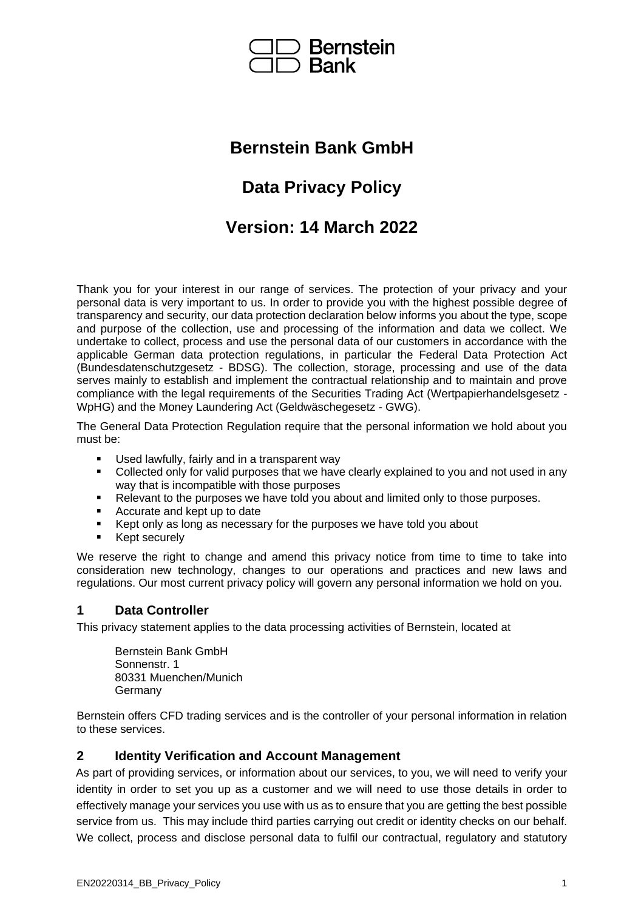

# **Bernstein Bank GmbH**

# **Data Privacy Policy**

# **Version: 14 March 2022**

Thank you for your interest in our range of services. The protection of your privacy and your personal data is very important to us. In order to provide you with the highest possible degree of transparency and security, our data protection declaration below informs you about the type, scope and purpose of the collection, use and processing of the information and data we collect. We undertake to collect, process and use the personal data of our customers in accordance with the applicable German data protection regulations, in particular the Federal Data Protection Act (Bundesdatenschutzgesetz - BDSG). The collection, storage, processing and use of the data serves mainly to establish and implement the contractual relationship and to maintain and prove compliance with the legal requirements of the Securities Trading Act (Wertpapierhandelsgesetz - WpHG) and the Money Laundering Act (Geldwäschegesetz - GWG).

The General Data Protection Regulation require that the personal information we hold about you must be:

- Used lawfully, fairly and in a transparent way
- Collected only for valid purposes that we have clearly explained to you and not used in any way that is incompatible with those purposes
- Relevant to the purposes we have told you about and limited only to those purposes.
- Accurate and kept up to date
- Kept only as long as necessary for the purposes we have told you about
- Kept securely

We reserve the right to change and amend this privacy notice from time to time to take into consideration new technology, changes to our operations and practices and new laws and regulations. Our most current privacy policy will govern any personal information we hold on you.

#### **1 Data Controller**

This privacy statement applies to the data processing activities of Bernstein, located at

Bernstein Bank GmbH Sonnenstr. 1 80331 Muenchen/Munich Germany

Bernstein offers CFD trading services and is the controller of your personal information in relation to these services.

#### **2 Identity Verification and Account Management**

As part of providing services, or information about our services, to you, we will need to verify your identity in order to set you up as a customer and we will need to use those details in order to effectively manage your services you use with us as to ensure that you are getting the best possible service from us. This may include third parties carrying out credit or identity checks on our behalf. We collect, process and disclose personal data to fulfil our contractual, regulatory and statutory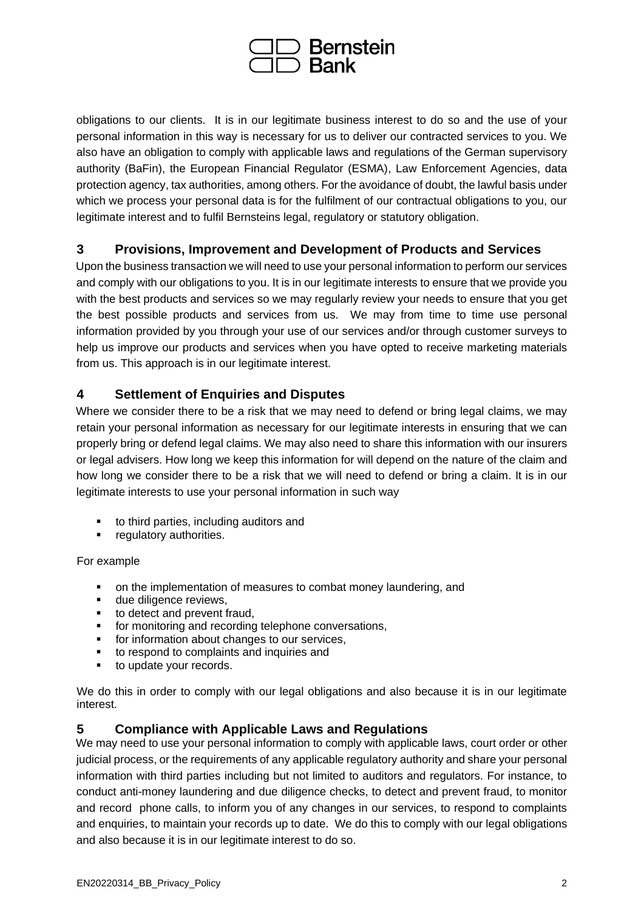

obligations to our clients. It is in our legitimate business interest to do so and the use of your personal information in this way is necessary for us to deliver our contracted services to you. We also have an obligation to comply with applicable laws and regulations of the German supervisory authority (BaFin), the European Financial Regulator (ESMA), Law Enforcement Agencies, data protection agency, tax authorities, among others. For the avoidance of doubt, the lawful basis under which we process your personal data is for the fulfilment of our contractual obligations to you, our legitimate interest and to fulfil Bernsteins legal, regulatory or statutory obligation.

# **3 Provisions, Improvement and Development of Products and Services**

Upon the business transaction we will need to use your personal information to perform our services and comply with our obligations to you. It is in our legitimate interests to ensure that we provide you with the best products and services so we may regularly review your needs to ensure that you get the best possible products and services from us. We may from time to time use personal information provided by you through your use of our services and/or through customer surveys to help us improve our products and services when you have opted to receive marketing materials from us. This approach is in our legitimate interest.

#### **4 Settlement of Enquiries and Disputes**

Where we consider there to be a risk that we may need to defend or bring legal claims, we may retain your personal information as necessary for our legitimate interests in ensuring that we can properly bring or defend legal claims. We may also need to share this information with our insurers or legal advisers. How long we keep this information for will depend on the nature of the claim and how long we consider there to be a risk that we will need to defend or bring a claim. It is in our legitimate interests to use your personal information in such way

- to third parties, including auditors and
- regulatory authorities.

#### For example

- on the implementation of measures to combat money laundering, and
- due diligence reviews,
- to detect and prevent fraud,
- **•** for monitoring and recording telephone conversations,
- for information about changes to our services,
- to respond to complaints and inquiries and
- to update your records.

We do this in order to comply with our legal obligations and also because it is in our legitimate interest.

#### **5 Compliance with Applicable Laws and Regulations**

We may need to use your personal information to comply with applicable laws, court order or other judicial process, or the requirements of any applicable regulatory authority and share your personal information with third parties including but not limited to auditors and regulators. For instance, to conduct anti-money laundering and due diligence checks, to detect and prevent fraud, to monitor and record phone calls, to inform you of any changes in our services, to respond to complaints and enquiries, to maintain your records up to date. We do this to comply with our legal obligations and also because it is in our legitimate interest to do so.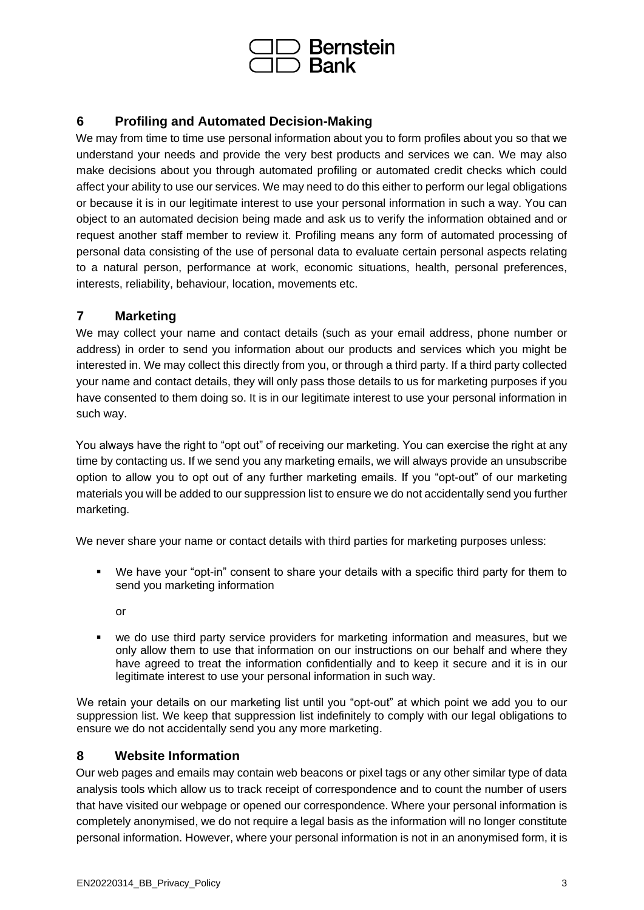

# **6 Profiling and Automated Decision-Making**

We may from time to time use personal information about you to form profiles about you so that we understand your needs and provide the very best products and services we can. We may also make decisions about you through automated profiling or automated credit checks which could affect your ability to use our services. We may need to do this either to perform our legal obligations or because it is in our legitimate interest to use your personal information in such a way. You can object to an automated decision being made and ask us to verify the information obtained and or request another staff member to review it. Profiling means any form of automated processing of personal data consisting of the use of personal data to evaluate certain personal aspects relating to a natural person, performance at work, economic situations, health, personal preferences, interests, reliability, behaviour, location, movements etc.

#### **7 Marketing**

We may collect your name and contact details (such as your email address, phone number or address) in order to send you information about our products and services which you might be interested in. We may collect this directly from you, or through a third party. If a third party collected your name and contact details, they will only pass those details to us for marketing purposes if you have consented to them doing so. It is in our legitimate interest to use your personal information in such way.

You always have the right to "opt out" of receiving our marketing. You can exercise the right at any time by contacting us. If we send you any marketing emails, we will always provide an unsubscribe option to allow you to opt out of any further marketing emails. If you "opt-out" of our marketing materials you will be added to our suppression list to ensure we do not accidentally send you further marketing.

We never share your name or contact details with third parties for marketing purposes unless:

- We have your "opt-in" consent to share your details with a specific third party for them to send you marketing information
	- or
- we do use third party service providers for marketing information and measures, but we only allow them to use that information on our instructions on our behalf and where they have agreed to treat the information confidentially and to keep it secure and it is in our legitimate interest to use your personal information in such way.

We retain your details on our marketing list until you "opt-out" at which point we add you to our suppression list. We keep that suppression list indefinitely to comply with our legal obligations to ensure we do not accidentally send you any more marketing.

#### **8 Website Information**

Our web pages and emails may contain web beacons or pixel tags or any other similar type of data analysis tools which allow us to track receipt of correspondence and to count the number of users that have visited our webpage or opened our correspondence. Where your personal information is completely anonymised, we do not require a legal basis as the information will no longer constitute personal information. However, where your personal information is not in an anonymised form, it is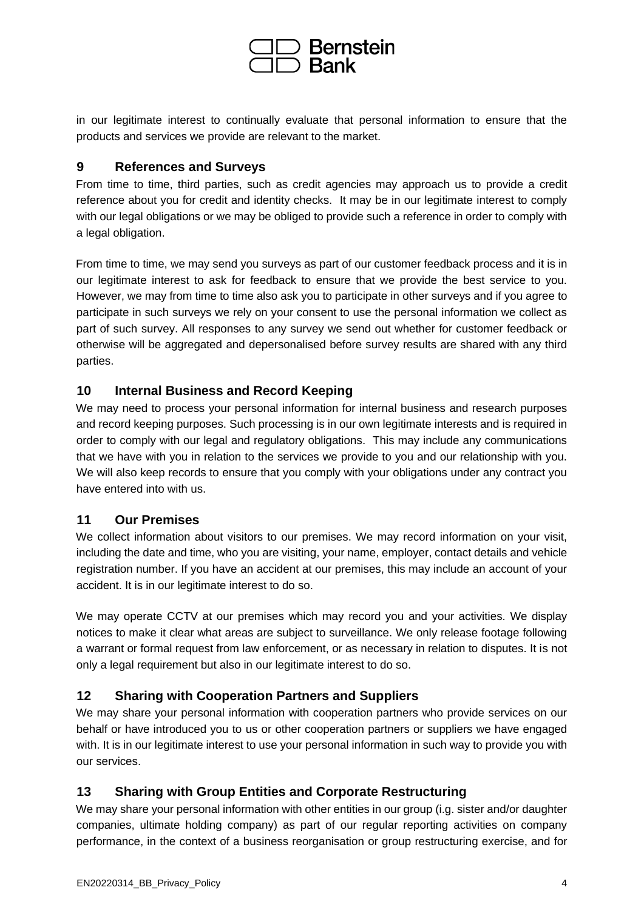

in our legitimate interest to continually evaluate that personal information to ensure that the products and services we provide are relevant to the market.

#### **9 References and Surveys**

From time to time, third parties, such as credit agencies may approach us to provide a credit reference about you for credit and identity checks. It may be in our legitimate interest to comply with our legal obligations or we may be obliged to provide such a reference in order to comply with a legal obligation.

From time to time, we may send you surveys as part of our customer feedback process and it is in our legitimate interest to ask for feedback to ensure that we provide the best service to you. However, we may from time to time also ask you to participate in other surveys and if you agree to participate in such surveys we rely on your consent to use the personal information we collect as part of such survey. All responses to any survey we send out whether for customer feedback or otherwise will be aggregated and depersonalised before survey results are shared with any third parties.

#### **10 Internal Business and Record Keeping**

We may need to process your personal information for internal business and research purposes and record keeping purposes. Such processing is in our own legitimate interests and is required in order to comply with our legal and regulatory obligations. This may include any communications that we have with you in relation to the services we provide to you and our relationship with you. We will also keep records to ensure that you comply with your obligations under any contract you have entered into with us.

#### **11 Our Premises**

We collect information about visitors to our premises. We may record information on your visit, including the date and time, who you are visiting, your name, employer, contact details and vehicle registration number. If you have an accident at our premises, this may include an account of your accident. It is in our legitimate interest to do so.

We may operate CCTV at our premises which may record you and your activities. We display notices to make it clear what areas are subject to surveillance. We only release footage following a warrant or formal request from law enforcement, or as necessary in relation to disputes. It is not only a legal requirement but also in our legitimate interest to do so.

#### **12 Sharing with Cooperation Partners and Suppliers**

We may share your personal information with cooperation partners who provide services on our behalf or have introduced you to us or other cooperation partners or suppliers we have engaged with. It is in our legitimate interest to use your personal information in such way to provide you with our services.

#### **13 Sharing with Group Entities and Corporate Restructuring**

We may share your personal information with other entities in our group (i.g. sister and/or daughter companies, ultimate holding company) as part of our regular reporting activities on company performance, in the context of a business reorganisation or group restructuring exercise, and for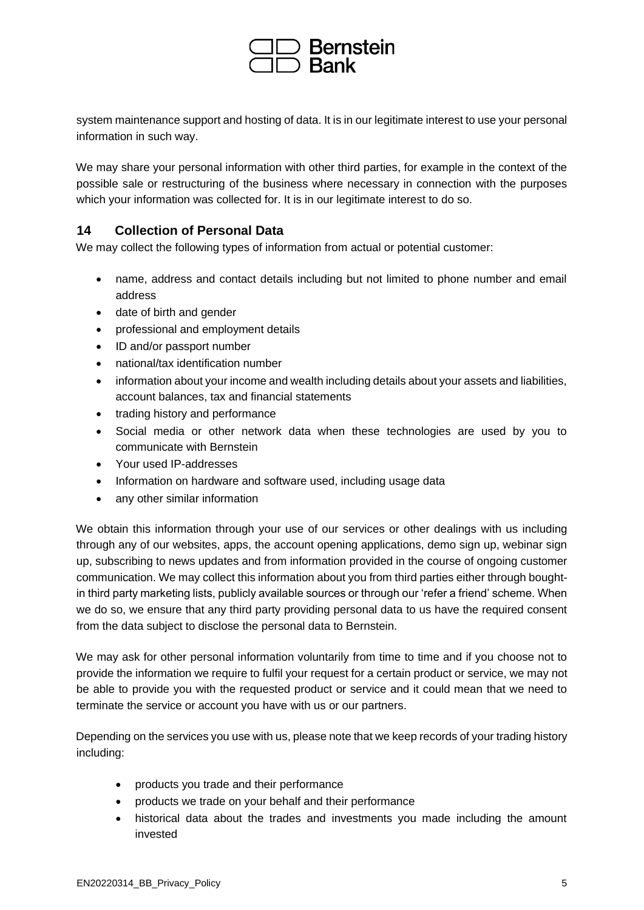

system maintenance support and hosting of data. It is in our legitimate interest to use your personal information in such way.

We may share your personal information with other third parties, for example in the context of the possible sale or restructuring of the business where necessary in connection with the purposes which your information was collected for. It is in our legitimate interest to do so.

#### **14 Collection of Personal Data**

We may collect the following types of information from actual or potential customer:

- name, address and contact details including but not limited to phone number and email address
- date of birth and gender
- professional and employment details
- ID and/or passport number
- national/tax identification number
- information about your income and wealth including details about your assets and liabilities, account balances, tax and financial statements
- trading history and performance
- Social media or other network data when these technologies are used by you to communicate with Bernstein
- Your used IP-addresses
- Information on hardware and software used, including usage data
- any other similar information

We obtain this information through your use of our services or other dealings with us including through any of our websites, apps, the account opening applications, demo sign up, webinar sign up, subscribing to news updates and from information provided in the course of ongoing customer communication. We may collect this information about you from third parties either through boughtin third party marketing lists, publicly available sources or through our 'refer a friend' scheme. When we do so, we ensure that any third party providing personal data to us have the required consent from the data subject to disclose the personal data to Bernstein.

We may ask for other personal information voluntarily from time to time and if you choose not to provide the information we require to fulfil your request for a certain product or service, we may not be able to provide you with the requested product or service and it could mean that we need to terminate the service or account you have with us or our partners.

Depending on the services you use with us, please note that we keep records of your trading history including:

- products you trade and their performance
- products we trade on your behalf and their performance
- historical data about the trades and investments you made including the amount invested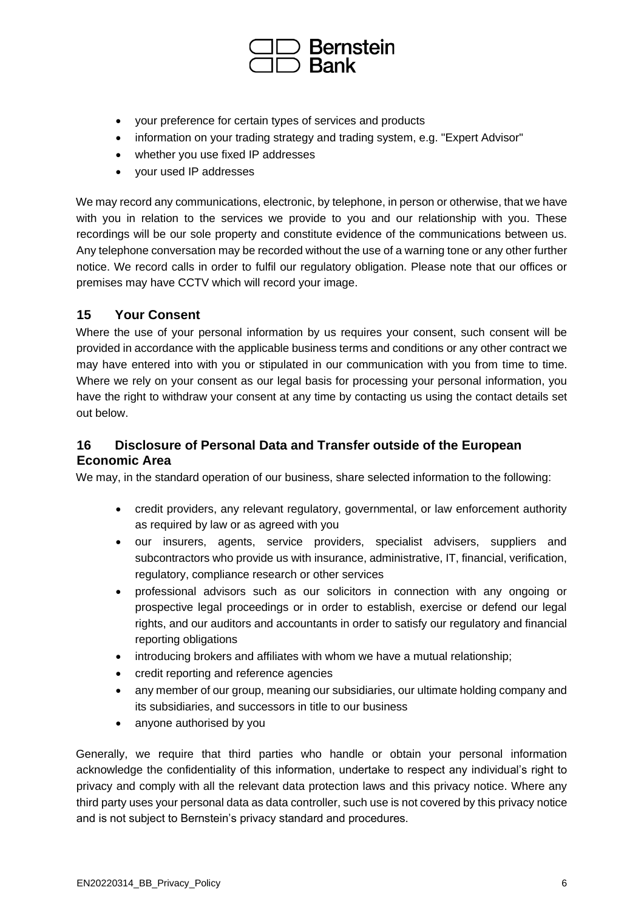

- your preference for certain types of services and products
- information on your trading strategy and trading system, e.g. "Expert Advisor"
- whether you use fixed IP addresses
- your used IP addresses

We may record any communications, electronic, by telephone, in person or otherwise, that we have with you in relation to the services we provide to you and our relationship with you. These recordings will be our sole property and constitute evidence of the communications between us. Any telephone conversation may be recorded without the use of a warning tone or any other further notice. We record calls in order to fulfil our regulatory obligation. Please note that our offices or premises may have CCTV which will record your image.

#### **15 Your Consent**

Where the use of your personal information by us requires your consent, such consent will be provided in accordance with the applicable business terms and conditions or any other contract we may have entered into with you or stipulated in our communication with you from time to time. Where we rely on your consent as our legal basis for processing your personal information, you have the right to withdraw your consent at any time by contacting us using the contact details set out below.

# **16 Disclosure of Personal Data and Transfer outside of the European Economic Area**

We may, in the standard operation of our business, share selected information to the following:

- credit providers, any relevant regulatory, governmental, or law enforcement authority as required by law or as agreed with you
- our insurers, agents, service providers, specialist advisers, suppliers and subcontractors who provide us with insurance, administrative, IT, financial, verification, regulatory, compliance research or other services
- professional advisors such as our solicitors in connection with any ongoing or prospective legal proceedings or in order to establish, exercise or defend our legal rights, and our auditors and accountants in order to satisfy our regulatory and financial reporting obligations
- introducing brokers and affiliates with whom we have a mutual relationship;
- credit reporting and reference agencies
- any member of our group, meaning our subsidiaries, our ultimate holding company and its subsidiaries, and successors in title to our business
- anyone authorised by you

Generally, we require that third parties who handle or obtain your personal information acknowledge the confidentiality of this information, undertake to respect any individual's right to privacy and comply with all the relevant data protection laws and this privacy notice. Where any third party uses your personal data as data controller, such use is not covered by this privacy notice and is not subject to Bernstein's privacy standard and procedures.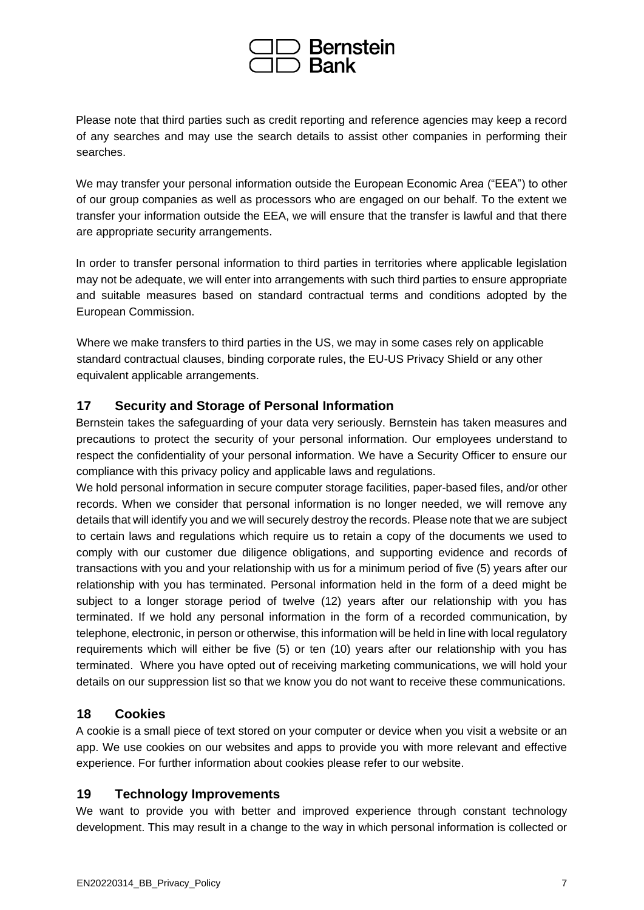

Please note that third parties such as credit reporting and reference agencies may keep a record of any searches and may use the search details to assist other companies in performing their searches.

We may transfer your personal information outside the European Economic Area ("EEA") to other of our group companies as well as processors who are engaged on our behalf. To the extent we transfer your information outside the EEA, we will ensure that the transfer is lawful and that there are appropriate security arrangements.

In order to transfer personal information to third parties in territories where applicable legislation may not be adequate, we will enter into arrangements with such third parties to ensure appropriate and suitable measures based on standard contractual terms and conditions adopted by the European Commission.

Where we make transfers to third parties in the US, we may in some cases rely on applicable standard contractual clauses, binding corporate rules, the EU-US Privacy Shield or any other equivalent applicable arrangements.

# **17 Security and Storage of Personal Information**

Bernstein takes the safeguarding of your data very seriously. Bernstein has taken measures and precautions to protect the security of your personal information. Our employees understand to respect the confidentiality of your personal information. We have a Security Officer to ensure our compliance with this privacy policy and applicable laws and regulations.

We hold personal information in secure computer storage facilities, paper-based files, and/or other records. When we consider that personal information is no longer needed, we will remove any details that will identify you and we will securely destroy the records. Please note that we are subject to certain laws and regulations which require us to retain a copy of the documents we used to comply with our customer due diligence obligations, and supporting evidence and records of transactions with you and your relationship with us for a minimum period of five (5) years after our relationship with you has terminated. Personal information held in the form of a deed might be subject to a longer storage period of twelve (12) years after our relationship with you has terminated. If we hold any personal information in the form of a recorded communication, by telephone, electronic, in person or otherwise, this information will be held in line with local regulatory requirements which will either be five (5) or ten (10) years after our relationship with you has terminated. Where you have opted out of receiving marketing communications, we will hold your details on our suppression list so that we know you do not want to receive these communications.

#### **18 Cookies**

A cookie is a small piece of text stored on your computer or device when you visit a website or an app. We use cookies on our websites and apps to provide you with more relevant and effective experience. For further information about cookies please refer to our website.

#### **19 Technology Improvements**

We want to provide you with better and improved experience through constant technology development. This may result in a change to the way in which personal information is collected or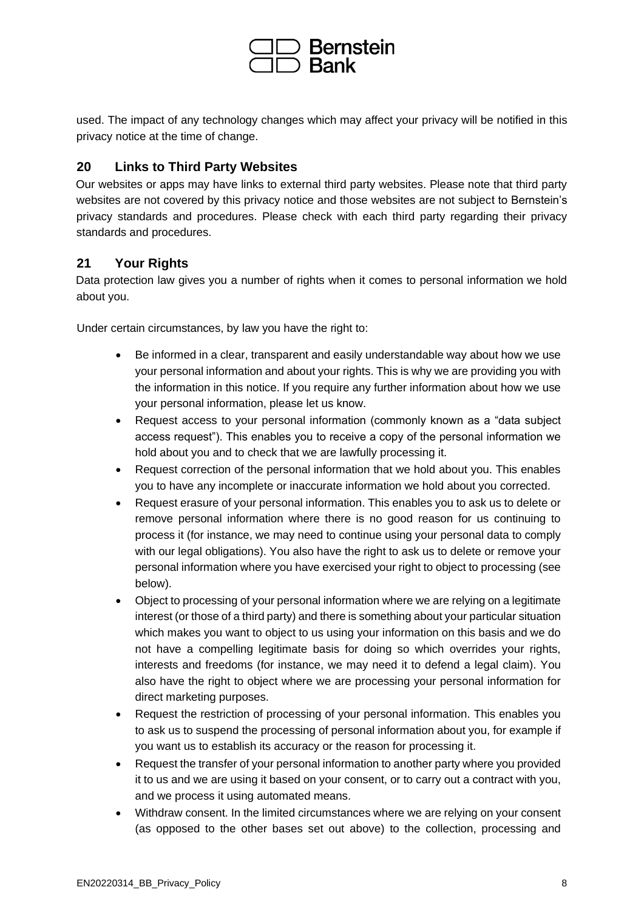

used. The impact of any technology changes which may affect your privacy will be notified in this privacy notice at the time of change.

# **20 Links to Third Party Websites**

Our websites or apps may have links to external third party websites. Please note that third party websites are not covered by this privacy notice and those websites are not subject to Bernstein's privacy standards and procedures. Please check with each third party regarding their privacy standards and procedures.

# **21 Your Rights**

Data protection law gives you a number of rights when it comes to personal information we hold about you.

Under certain circumstances, by law you have the right to:

- Be informed in a clear, transparent and easily understandable way about how we use your personal information and about your rights. This is why we are providing you with the information in this notice. If you require any further information about how we use your personal information, please let us know.
- Request access to your personal information (commonly known as a "data subject access request"). This enables you to receive a copy of the personal information we hold about you and to check that we are lawfully processing it.
- Request correction of the personal information that we hold about you. This enables you to have any incomplete or inaccurate information we hold about you corrected.
- Request erasure of your personal information. This enables you to ask us to delete or remove personal information where there is no good reason for us continuing to process it (for instance, we may need to continue using your personal data to comply with our legal obligations). You also have the right to ask us to delete or remove your personal information where you have exercised your right to object to processing (see below).
- Object to processing of your personal information where we are relying on a legitimate interest (or those of a third party) and there is something about your particular situation which makes you want to object to us using your information on this basis and we do not have a compelling legitimate basis for doing so which overrides your rights, interests and freedoms (for instance, we may need it to defend a legal claim). You also have the right to object where we are processing your personal information for direct marketing purposes.
- Request the restriction of processing of your personal information. This enables you to ask us to suspend the processing of personal information about you, for example if you want us to establish its accuracy or the reason for processing it.
- Request the transfer of your personal information to another party where you provided it to us and we are using it based on your consent, or to carry out a contract with you, and we process it using automated means.
- Withdraw consent. In the limited circumstances where we are relying on your consent (as opposed to the other bases set out above) to the collection, processing and